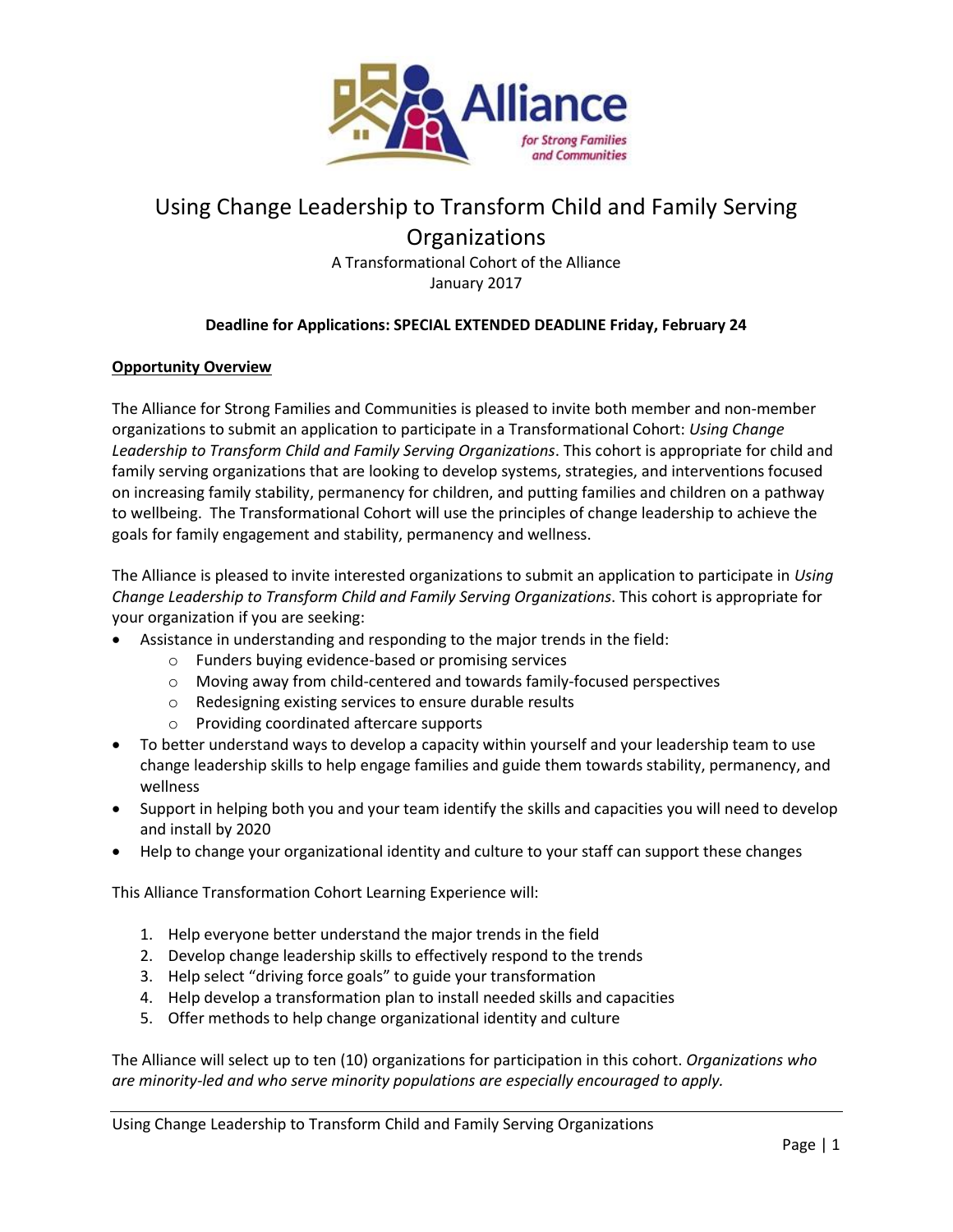

# Using Change Leadership to Transform Child and Family Serving

**Organizations** 

A Transformational Cohort of the Alliance January 2017

## **Deadline for Applications: SPECIAL EXTENDED DEADLINE Friday, February 24**

### **Opportunity Overview**

The Alliance for Strong Families and Communities is pleased to invite both member and non-member organizations to submit an application to participate in a Transformational Cohort: *Using Change Leadership to Transform Child and Family Serving Organizations*. This cohort is appropriate for child and family serving organizations that are looking to develop systems, strategies, and interventions focused on increasing family stability, permanency for children, and putting families and children on a pathway to wellbeing. The Transformational Cohort will use the principles of change leadership to achieve the goals for family engagement and stability, permanency and wellness.

The Alliance is pleased to invite interested organizations to submit an application to participate in *Using Change Leadership to Transform Child and Family Serving Organizations*. This cohort is appropriate for your organization if you are seeking:

- Assistance in understanding and responding to the major trends in the field:
	- o Funders buying evidence-based or promising services
	- o Moving away from child-centered and towards family-focused perspectives
	- o Redesigning existing services to ensure durable results
	- o Providing coordinated aftercare supports
- To better understand ways to develop a capacity within yourself and your leadership team to use change leadership skills to help engage families and guide them towards stability, permanency, and wellness
- Support in helping both you and your team identify the skills and capacities you will need to develop and install by 2020
- Help to change your organizational identity and culture to your staff can support these changes

This Alliance Transformation Cohort Learning Experience will:

- 1. Help everyone better understand the major trends in the field
- 2. Develop change leadership skills to effectively respond to the trends
- 3. Help select "driving force goals" to guide your transformation
- 4. Help develop a transformation plan to install needed skills and capacities
- 5. Offer methods to help change organizational identity and culture

The Alliance will select up to ten (10) organizations for participation in this cohort. *Organizations who are minority-led and who serve minority populations are especially encouraged to apply.*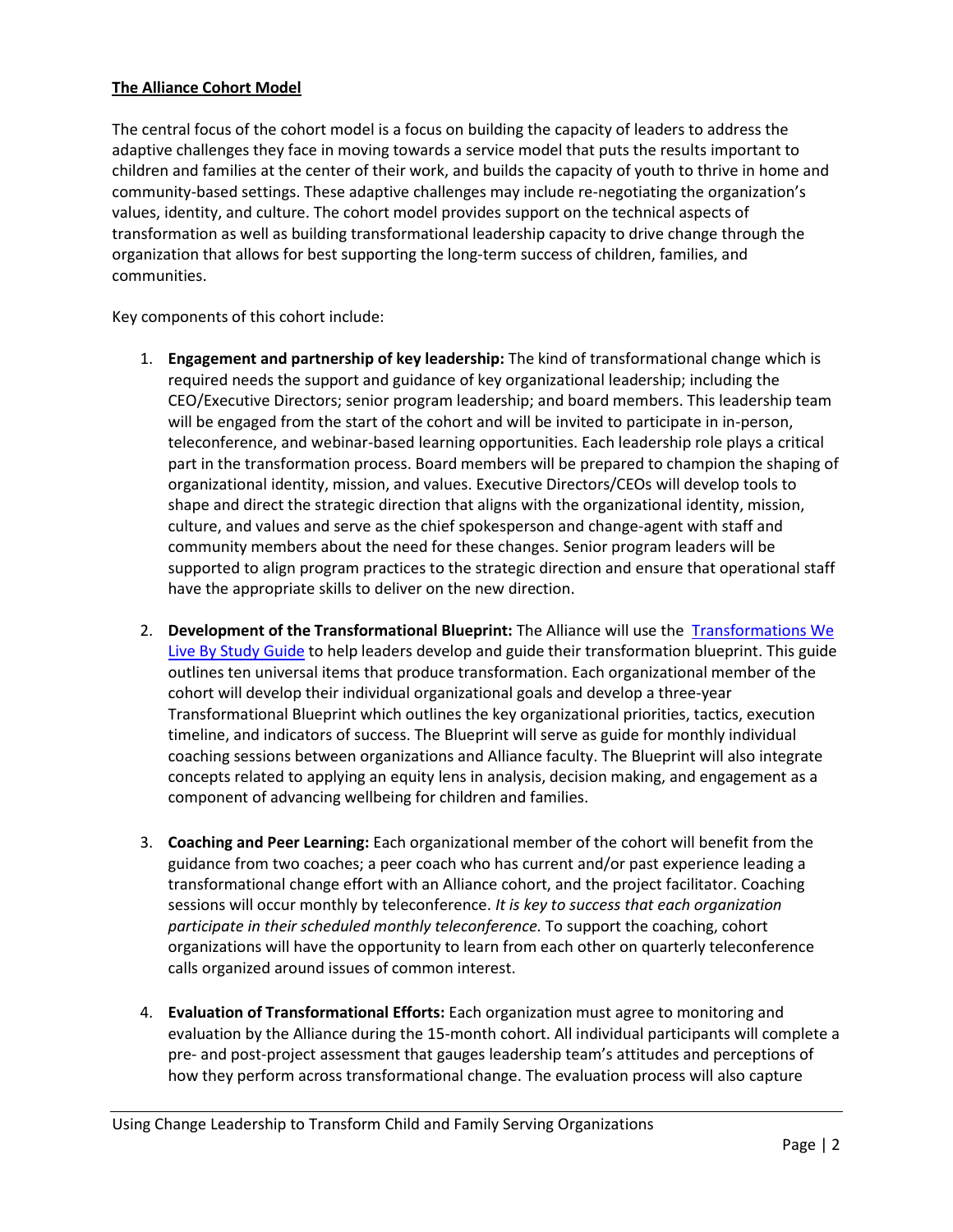### **The Alliance Cohort Model**

The central focus of the cohort model is a focus on building the capacity of leaders to address the adaptive challenges they face in moving towards a service model that puts the results important to children and families at the center of their work, and builds the capacity of youth to thrive in home and community-based settings. These adaptive challenges may include re-negotiating the organization's values, identity, and culture. The cohort model provides support on the technical aspects of transformation as well as building transformational leadership capacity to drive change through the organization that allows for best supporting the long-term success of children, families, and communities.

Key components of this cohort include:

- 1. **Engagement and partnership of key leadership:** The kind of transformational change which is required needs the support and guidance of key organizational leadership; including the CEO/Executive Directors; senior program leadership; and board members. This leadership team will be engaged from the start of the cohort and will be invited to participate in in-person, teleconference, and webinar-based learning opportunities. Each leadership role plays a critical part in the transformation process. Board members will be prepared to champion the shaping of organizational identity, mission, and values. Executive Directors/CEOs will develop tools to shape and direct the strategic direction that aligns with the organizational identity, mission, culture, and values and serve as the chief spokesperson and change-agent with staff and community members about the need for these changes. Senior program leaders will be supported to align program practices to the strategic direction and ensure that operational staff have the appropriate skills to deliver on the new direction.
- 2. **Development of the Transformational Blueprint:** The Alliance will use the [Transformations We](http://alliance1.org/alliance/transformation-we-live-guide-leading-transformation-children-s-residential-treatment)  [Live By Study Guide](http://alliance1.org/alliance/transformation-we-live-guide-leading-transformation-children-s-residential-treatment) to help leaders develop and guide their transformation blueprint. This guide outlines ten universal items that produce transformation. Each organizational member of the cohort will develop their individual organizational goals and develop a three-year Transformational Blueprint which outlines the key organizational priorities, tactics, execution timeline, and indicators of success. The Blueprint will serve as guide for monthly individual coaching sessions between organizations and Alliance faculty. The Blueprint will also integrate concepts related to applying an equity lens in analysis, decision making, and engagement as a component of advancing wellbeing for children and families.
- 3. **Coaching and Peer Learning:** Each organizational member of the cohort will benefit from the guidance from two coaches; a peer coach who has current and/or past experience leading a transformational change effort with an Alliance cohort, and the project facilitator. Coaching sessions will occur monthly by teleconference. *It is key to success that each organization participate in their scheduled monthly teleconference.* To support the coaching, cohort organizations will have the opportunity to learn from each other on quarterly teleconference calls organized around issues of common interest.
- 4. **Evaluation of Transformational Efforts:** Each organization must agree to monitoring and evaluation by the Alliance during the 15-month cohort. All individual participants will complete a pre- and post-project assessment that gauges leadership team's attitudes and perceptions of how they perform across transformational change. The evaluation process will also capture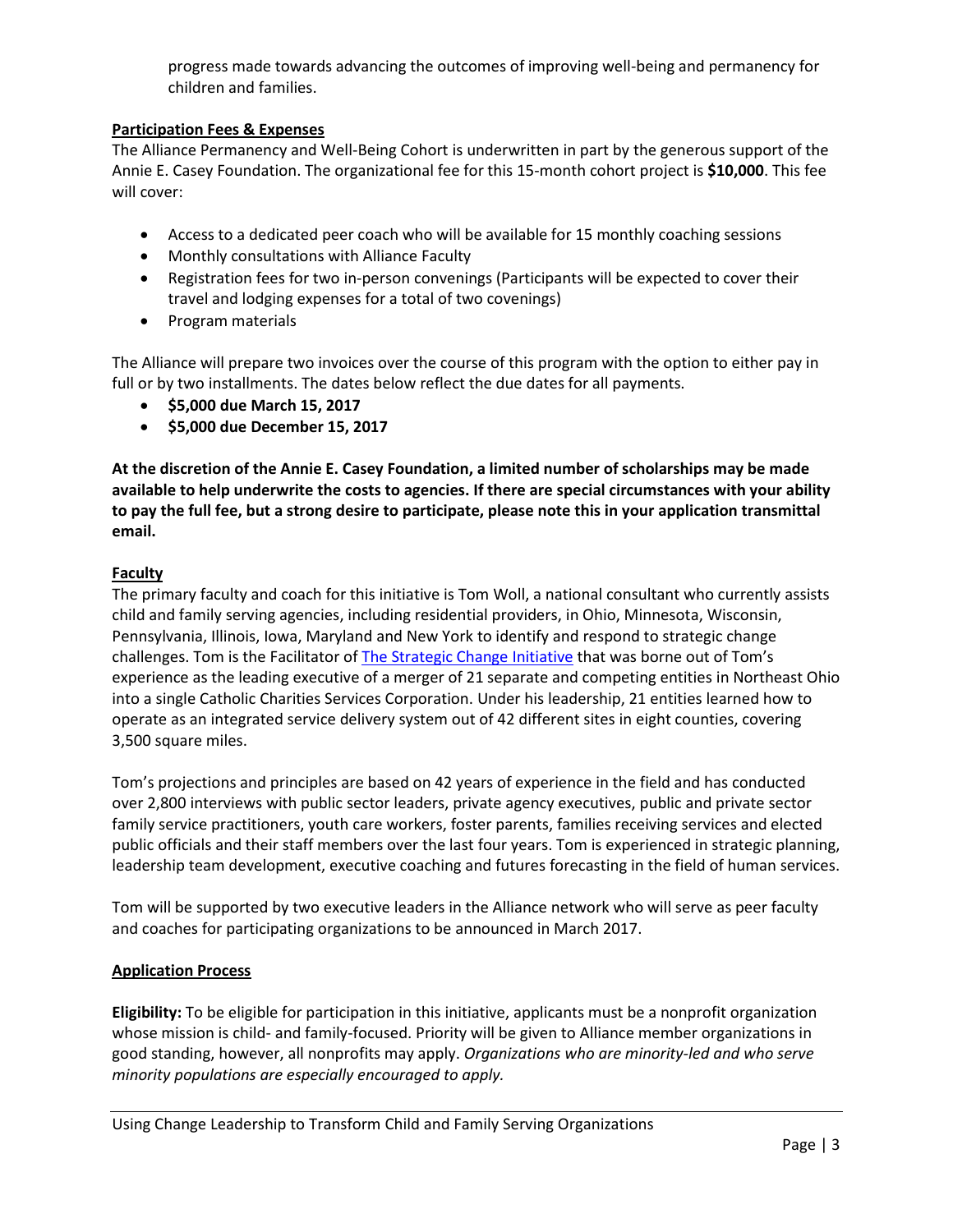progress made towards advancing the outcomes of improving well-being and permanency for children and families.

### **Participation Fees & Expenses**

The Alliance Permanency and Well-Being Cohort is underwritten in part by the generous support of the Annie E. Casey Foundation. The organizational fee for this 15-month cohort project is **\$10,000**. This fee will cover:

- Access to a dedicated peer coach who will be available for 15 monthly coaching sessions
- Monthly consultations with Alliance Faculty
- Registration fees for two in-person convenings (Participants will be expected to cover their travel and lodging expenses for a total of two covenings)
- Program materials

The Alliance will prepare two invoices over the course of this program with the option to either pay in full or by two installments. The dates below reflect the due dates for all payments.

- **\$5,000 due March 15, 2017**
- **\$5,000 due December 15, 2017**

**At the discretion of the Annie E. Casey Foundation, a limited number of scholarships may be made available to help underwrite the costs to agencies. If there are special circumstances with your ability to pay the full fee, but a strong desire to participate, please note this in your application transmittal email.**

## **Faculty**

The primary faculty and coach for this initiative is Tom Woll, a national consultant who currently assists child and family serving agencies, including residential providers, in Ohio, Minnesota, Wisconsin, Pennsylvania, Illinois, Iowa, Maryland and New York to identify and respond to strategic change challenges. Tom is the Facilitator o[f The Strategic Change Initiative](http://helpingohiokids.org/strategicchangeinitiative/sci/) that was borne out of Tom's experience as the leading executive of a merger of 21 separate and competing entities in Northeast Ohio into a single Catholic Charities Services Corporation. Under his leadership, 21 entities learned how to operate as an integrated service delivery system out of 42 different sites in eight counties, covering 3,500 square miles.

Tom's projections and principles are based on 42 years of experience in the field and has conducted over 2,800 interviews with public sector leaders, private agency executives, public and private sector family service practitioners, youth care workers, foster parents, families receiving services and elected public officials and their staff members over the last four years. Tom is experienced in strategic planning, leadership team development, executive coaching and futures forecasting in the field of human services.

Tom will be supported by two executive leaders in the Alliance network who will serve as peer faculty and coaches for participating organizations to be announced in March 2017.

## **Application Process**

**Eligibility:** To be eligible for participation in this initiative, applicants must be a nonprofit organization whose mission is child- and family-focused. Priority will be given to Alliance member organizations in good standing, however, all nonprofits may apply. *Organizations who are minority-led and who serve minority populations are especially encouraged to apply.*